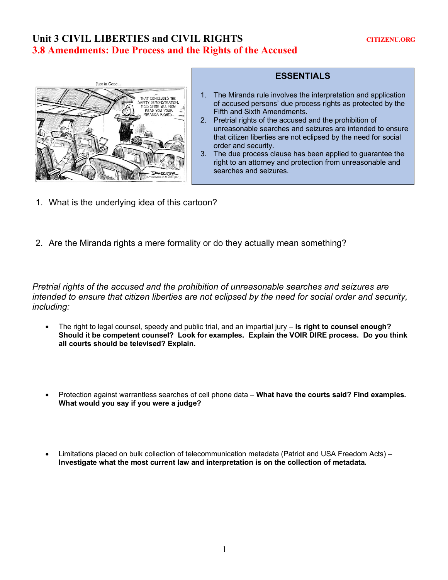## Unit 3 CIVIL LIBERTIES and CIVIL RIGHTS CITIZENU.ORG **3.8 Amendments: Due Process and the Rights of the Accused**



## **ESSENTIALS**

- 1. The Miranda rule involves the interpretation and application of accused persons' due process rights as protected by the Fifth and Sixth Amendments.
- 2. Pretrial rights of the accused and the prohibition of unreasonable searches and seizures are intended to ensure that citizen liberties are not eclipsed by the need for social order and security.
- 3. The due process clause has been applied to guarantee the right to an attorney and protection from unreasonable and searches and seizures.
- 1. What is the underlying idea of this cartoon?
- 2. Are the Miranda rights a mere formality or do they actually mean something?

*Pretrial rights of the accused and the prohibition of unreasonable searches and seizures are intended to ensure that citizen liberties are not eclipsed by the need for social order and security, including:* 

- The right to legal counsel, speedy and public trial, and an impartial jury **Is right to counsel enough? Should it be competent counsel? Look for examples. Explain the VOIR DIRE process. Do you think all courts should be televised? Explain.**
- Protection against warrantless searches of cell phone data **What have the courts said? Find examples. What would you say if you were a judge?**
- Limitations placed on bulk collection of telecommunication metadata (Patriot and USA Freedom Acts) **Investigate what the most current law and interpretation is on the collection of metadata.**